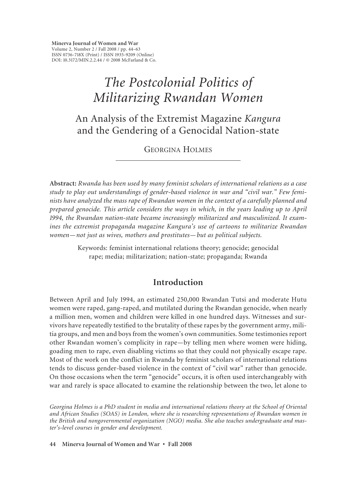**Minerva Journal of Women and War** Volume 2, Number 2 / Fall 2008 / pp. 44–63 ISSN 0736-718X (Print) / ISSN 1935-9209 (Online) DOI: 10.3172/MIN.2.2.44 / © 2008 McFarland & Co.

# *The Postcolonial Politics of Militarizing Rwandan Women*

An Analysis of the Extremist Magazine *Kangura* and the Gendering of a Genocidal Nation-state

GEORGINA HOLMES

**Abstract:** *Rwanda has been used by many feminist scholars of international relations as a case study to play out understandings of gender-based violence in war and "civil war." Few feminists have analyzed the mass rape of Rwandan women in the context of a carefully planned and prepared genocide. This article considers the ways in which, in the years leading up to April 1994, the Rwandan nation-state became increasingly militarized and masculinized. It examines the extremist propaganda magazine Kangura's use of cartoons to militarize Rwandan women—not just as wives, mothers and prostitutes—but as political subjects.*

> Keywords: feminist international relations theory; genocide; genocidal rape; media; militarization; nation-state; propaganda; Rwanda

### **Introduction**

Between April and July 1994, an estimated 250,000 Rwandan Tutsi and moderate Hutu women were raped, gang-raped, and mutilated during the Rwandan genocide, when nearly a million men, women and children were killed in one hundred days. Witnesses and survivors have repeatedly testified to the brutality of these rapes by the government army, militia groups, and men and boys from the women's own communities. Some testimonies report other Rwandan women's complicity in rape—by telling men where women were hiding, goading men to rape, even disabling victims so that they could not physically escape rape. Most of the work on the conflict in Rwanda by feminist scholars of international relations tends to discuss gender-based violence in the context of "civil war" rather than genocide. On those occasions when the term "genocide" occurs, it is often used interchangeably with war and rarely is space allocated to examine the relationship between the two, let alone to

*Georgina Holmes is a PhD student in media and international relations theory at the School of Oriental and African Studies (SOAS) in London, where she is researching representations of Rwandan women in the British and nongovernmental organization (NGO) media. She also teaches undergraduate and master's-level courses in gender and development.*

**44 Minerva Journal of Women and War • Fall 2008**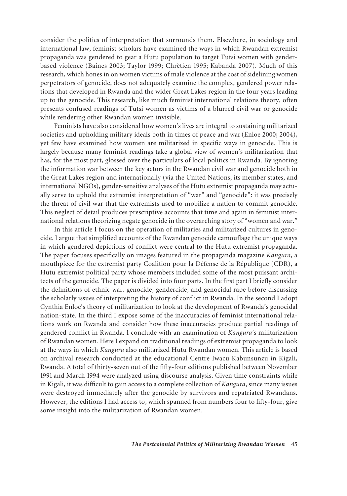consider the politics of interpretation that surrounds them. Elsewhere, in sociology and international law, feminist scholars have examined the ways in which Rwandan extremist propaganda was gendered to gear a Hutu population to target Tutsi women with genderbased violence (Baines 2003; Taylor 1999; Chrètien 1995; Kabanda 2007). Much of this research, which hones in on women victims of male violence at the cost of sidelining women perpetrators of genocide, does not adequately examine the complex, gendered power relations that developed in Rwanda and the wider Great Lakes region in the four years leading up to the genocide. This research, like much feminist international relations theory, often presents confused readings of Tutsi women as victims of a blurred civil war or genocide while rendering other Rwandan women invisible.

Feminists have also considered how women's lives are integral to sustaining militarized societies and upholding military ideals both in times of peace and war (Enloe 2000; 2004), yet few have examined how women are militarized in specific ways in genocide. This is largely because many feminist readings take a global view of women's militarization that has, for the most part, glossed over the particulars of local politics in Rwanda. By ignoring the information war between the key actors in the Rwandan civil war and genocide both in the Great Lakes region and internationally (via the United Nations, its member states, and international NGOs), gender-sensitive analyses of the Hutu extremist propaganda may actually serve to uphold the extremist interpretation of "war" and "genocide": it was precisely the threat of civil war that the extremists used to mobilize a nation to commit genocide. This neglect of detail produces prescriptive accounts that time and again in feminist international relations theorizing negate genocide in the overarching story of "women and war."

In this article I focus on the operation of militaries and militarized cultures in genocide. I argue that simplified accounts of the Rwandan genocide camouflage the unique ways in which gendered depictions of conflict were central to the Hutu extremist propaganda. The paper focuses specifically on images featured in the propaganda magazine *Kangura*, a mouthpiece for the extremist party Coalition pour la Défense de la République (CDR), a Hutu extremist political party whose members included some of the most puissant architects of the genocide. The paper is divided into four parts. In the first part I briefly consider the definitions of ethnic war, genocide, gendercide, and genocidal rape before discussing the scholarly issues of interpreting the history of conflict in Rwanda. In the second I adopt Cynthia Enloe's theory of militarization to look at the development of Rwanda's genocidal nation-state. In the third I expose some of the inaccuracies of feminist international relations work on Rwanda and consider how these inaccuracies produce partial readings of gendered conflict in Rwanda. I conclude with an examination of *Kangura*'s militarization of Rwandan women. Here I expand on traditional readings of extremist propaganda to look at the ways in which *Kangura* also militarized Hutu Rwandan women. This article is based on archival research conducted at the educational Centre Iwacu Kabunsunzu in Kigali, Rwanda. A total of thirty-seven out of the fifty-four editions published between November 1991 and March 1994 were analyzed using discourse analysis. Given time constraints while in Kigali, it was difficult to gain access to a complete collection of *Kangura*, since many issues were destroyed immediately after the genocide by survivors and repatriated Rwandans. However, the editions I had access to, which spanned from numbers four to fifty-four, give some insight into the militarization of Rwandan women.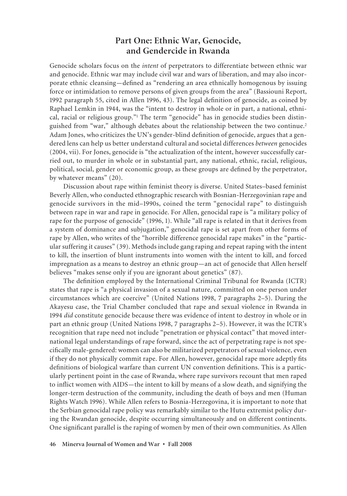## **Part One: Ethnic War, Genocide, and Gendercide in Rwanda**

Genocide scholars focus on the *intent* of perpetrators to differentiate between ethnic war and genocide. Ethnic war may include civil war and wars of liberation, and may also incorporate ethnic cleansing—defined as "rendering an area ethnically homogenous by issuing force or intimidation to remove persons of given groups from the area" (Bassiouni Report, 1992 paragraph 55, cited in Allen 1996, 43). The legal definition of genocide, as coined by Raphael Lemkin in 1944, was the "intent to destroy in whole or in part, a national, ethnical, racial or religious group."<sup>1</sup> The term "genocide" has in genocide studies been distinguished from "war," although debates about the relationship between the two continue.<sup>2</sup> Adam Jones, who criticizes the UN's gender-blind definition of genocide, argues that a gendered lens can help us better understand cultural and societal differences *between* genocides (2004, vii). For Jones, genocide is "the actualization of the intent, however successfully carried out, to murder in whole or in substantial part, any national, ethnic, racial, religious, political, social, gender or economic group, as these groups are defined by the perpetrator, by whatever means" (20).

Discussion about rape within feminist theory is diverse. United States–based feminist Beverly Allen, who conducted ethnographic research with Bosnian-Herzegovinian rape and genocide survivors in the mid–1990s, coined the term "genocidal rape" to distinguish between rape in war and rape in genocide. For Allen, genocidal rape is "a military policy of rape for the purpose of genocide" (1996, 1). While "all rape is related in that it derives from a system of dominance and subjugation," genocidal rape is set apart from other forms of rape by Allen, who writes of the "horrible difference genocidal rape makes" in the "particular suffering it causes" (39). Methods include gang raping and repeat raping with the intent to kill, the insertion of blunt instruments into women with the intent to kill, and forced impregnation as a means to destroy an ethnic group—an act of genocide that Allen herself believes "makes sense only if you are ignorant about genetics" (87).

The definition employed by the International Criminal Tribunal for Rwanda (ICTR) states that rape is "a physical invasion of a sexual nature, committed on one person under circumstances which are coercive" (United Nations 1998, 7 paragraphs 2–5). During the Akayesu case, the Trial Chamber concluded that rape and sexual violence in Rwanda in 1994 *did* constitute genocide because there was evidence of intent to destroy in whole or in part an ethnic group (United Nations 1998, 7 paragraphs 2–5). However, it was the ICTR's recognition that rape need not include "penetration or physical contact" that moved international legal understandings of rape forward, since the act of perpetrating rape is not specifically male-gendered: women can also be militarized perpetrators of sexual violence, even if they do not physically commit rape. For Allen, however, genocidal rape more adeptly fits definitions of biological warfare than current UN convention definitions. This is a particularly pertinent point in the case of Rwanda, where rape survivors recount that men raped to inflict women with AIDS—the intent to kill by means of a slow death, and signifying the longer-term destruction of the community, including the death of boys and men (Human Rights Watch 1996). While Allen refers to Bosnia-Herzegovina, it is important to note that the Serbian genocidal rape policy was remarkably similar to the Hutu extremist policy during the Rwandan genocide, despite occurring simultaneously and on different continents. One significant parallel is the raping of women by men of their own communities. As Allen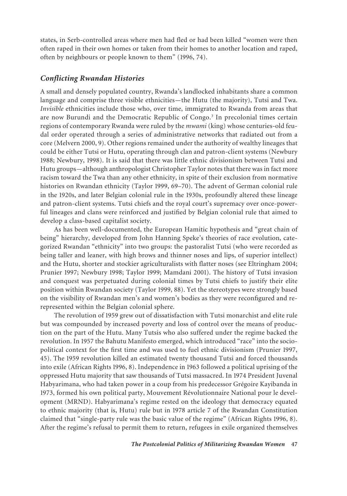states, in Serb-controlled areas where men had fled or had been killed "women were then often raped in their own homes or taken from their homes to another location and raped, often by neighbours or people known to them" (1996, 74).

### *Conflicting Rwandan Histories*

A small and densely populated country, Rwanda's landlocked inhabitants share a common language and comprise three visible ethnicities—the Hutu (the majority), Tutsi and Twa. *Invisible* ethnicities include those who, over time, immigrated to Rwanda from areas that are now Burundi and the Democratic Republic of Congo.<sup>3</sup> In precolonial times certain regions of contemporary Rwanda were ruled by the *mwami* (king) whose centuries-old feudal order operated through a series of administrative networks that radiated out from a core (Melvern 2000, 9). Other regions remained under the authority of wealthy lineages that could be either Tutsi or Hutu, operating through clan and patron-client systems (Newbury 1988; Newbury, 1998). It is said that there was little ethnic divisionism between Tutsi and Hutu groups—although anthropologist Christopher Taylor notes that there was in fact more racism toward the Twa than any other ethnicity, in spite of their exclusion from normative histories on Rwandan ethnicity (Taylor 1999, 69–70). The advent of German colonial rule in the 1920s, and later Belgian colonial rule in the 1930s, profoundly altered these lineage and patron-client systems. Tutsi chiefs and the royal court's supremacy over once-powerful lineages and clans were reinforced and justified by Belgian colonial rule that aimed to develop a class-based capitalist society.

As has been well-documented, the European Hamitic hypothesis and "great chain of being" hierarchy, developed from John Hanning Speke's theories of race evolution, categorized Rwandan "ethnicity" into two groups: the pastoralist Tutsi (who were recorded as being taller and leaner, with high brows and thinner noses and lips, of superior intellect) and the Hutu, shorter and stockier agriculturalists with flatter noses (see Eltringham 2004; Prunier 1997; Newbury 1998; Taylor 1999; Mamdani 2001). The history of Tutsi invasion and conquest was perpetuated during colonial times by Tutsi chiefs to justify their elite position within Rwandan society (Taylor 1999, 88). Yet the stereotypes were strongly based on the visibility of Rwandan men's and women's bodies as they were reconfigured and rerepresented within the Belgian colonial sphere.

The revolution of 1959 grew out of dissatisfaction with Tutsi monarchist and elite rule but was compounded by increased poverty and loss of control over the means of production on the part of the Hutu. Many Tutsis who also suffered under the regime backed the revolution. In 1957 the Bahutu Manifesto emerged, which introduced "race" into the sociopolitical context for the first time and was used to fuel ethnic divisionism (Prunier 1997, 45). The 1959 revolution killed an estimated twenty thousand Tutsi and forced thousands into exile (African Rights 1996, 8). Independence in 1963 followed a political uprising of the oppressed Hutu majority that saw thousands of Tutsi massacred. In 1974 President Juvenal Habyarimana, who had taken power in a coup from his predecessor Grégoire Kayibanda in 1973, formed his own political party, Mouvement Révolutionnaire National pour le development (MRND). Habyarimana's regime rested on the ideology that democracy equated to ethnic majority (that is, Hutu) rule but in 1978 article 7 of the Rwandan Constitution claimed that "single-party rule was the basic value of the regime" (African Rights 1996, 8). After the regime's refusal to permit them to return, refugees in exile organized themselves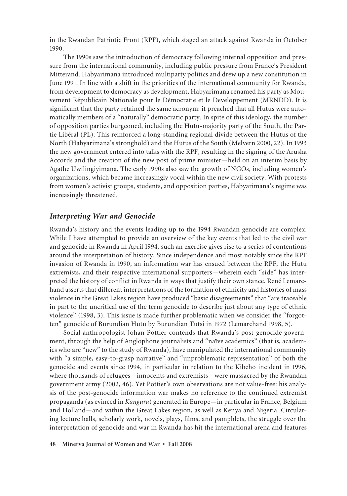in the Rwandan Patriotic Front (RPF), which staged an attack against Rwanda in October 1990.

The 1990s saw the introduction of democracy following internal opposition and pressure from the international community, including public pressure from France's President Mitterand. Habyarimana introduced multiparty politics and drew up a new constitution in June 1991. In line with a shift in the priorities of the international community for Rwanda, from development to democracy as development, Habyarimana renamed his party as Mouvement Républicain Nationale pour le Démocratie et le Developpement (MRNDD). It is significant that the party retained the same acronym: it preached that all Hutus were automatically members of a "naturally" democratic party. In spite of this ideology, the number of opposition parties burgeoned, including the Hutu-majority party of the South, the Partie Libéral (PL). This reinforced a long-standing regional divide between the Hutus of the North (Habyarimana's stronghold) and the Hutus of the South (Melvern 2000, 22). In 1993 the new government entered into talks with the RPF, resulting in the signing of the Arusha Accords and the creation of the new post of prime minister—held on an interim basis by Agathe Uwilingiyimana. The early 1990s also saw the growth of NGOs, including women's organizations, which became increasingly vocal within the new civil society. With protests from women's activist groups, students, and opposition parties, Habyarimana's regime was increasingly threatened.

### *Interpreting War and Genocide*

Rwanda's history and the events leading up to the 1994 Rwandan genocide are complex. While I have attempted to provide an overview of the key events that led to the civil war and genocide in Rwanda in April 1994, such an exercise gives rise to a series of contentions around the interpretation of history. Since independence and most notably since the RPF invasion of Rwanda in 1990, an information war has ensued between the RPF, the Hutu extremists, and their respective international supporters—wherein each "side" has interpreted the history of conflict in Rwanda in ways that justify their own stance. René Lemarchand asserts that different interpretations of the formation of ethnicity and histories of mass violence in the Great Lakes region have produced "basic disagreements" that "are traceable in part to the uncritical use of the term genocide to describe just about any type of ethnic violence" (1998, 3). This issue is made further problematic when we consider the "forgotten" genocide of Burundian Hutu by Burundian Tutsi in 1972 (Lemarchand 1998, 5).

Social anthropologist Johan Pottier contends that Rwanda's post-genocide government, through the help of Anglophone journalists and "naïve academics" (that is, academics who are "new" to the study of Rwanda), have manipulated the international community with "a simple, easy-to-grasp narrative" and "unproblematic representation" of both the genocide and events since 1994, in particular in relation to the Kibeho incident in 1996, where thousands of refugees—innocents and extremists—were massacred by the Rwandan government army (2002, 46). Yet Pottier's own observations are not value-free: his analysis of the post-genocide information war makes no reference to the continued extremist propaganda (as evinced in *Kangura*) generated in Europe—in particular in France, Belgium and Holland—and within the Great Lakes region, as well as Kenya and Nigeria. Circulating lecture halls, scholarly work, novels, plays, films, and pamphlets, the struggle over the interpretation of genocide and war in Rwanda has hit the international arena and features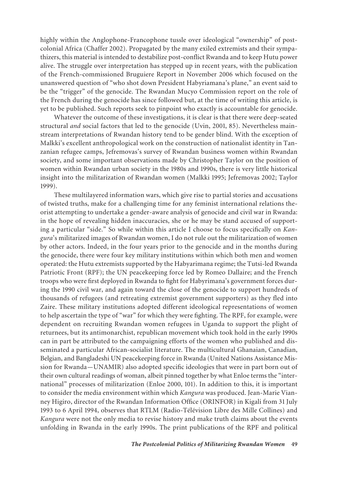highly within the Anglophone-Francophone tussle over ideological "ownership" of postcolonial Africa (Chaffer 2002). Propagated by the many exiled extremists and their sympathizers, this material is intended to destabilize post-conflict Rwanda and to keep Hutu power alive. The struggle over interpretation has stepped up in recent years, with the publication of the French-commissioned Bruguiere Report in November 2006 which focused on the unanswered question of "who shot down President Habyriamana's plane," an event said to be the "trigger" of the genocide. The Rwandan Mucyo Commission report on the role of the French during the genocide has since followed but, at the time of writing this article, is yet to be published. Such reports seek to pinpoint who exactly is accountable for genocide.

Whatever the outcome of these investigations, it is clear is that there were deep-seated structural *and* social factors that led to the genocide (Uvin, 2001, 85). Nevertheless mainstream interpretations of Rwandan history tend to be gender blind. With the exception of Malkki's excellent anthropological work on the construction of nationalist identity in Tanzanian refugee camps, Jefremovas's survey of Rwandan business women within Rwandan society, and some important observations made by Christopher Taylor on the position of women within Rwandan urban society in the 1980s and 1990s, there is very little historical insight into the militarization of Rwandan women (Malkki 1995; Jefremovas 2002; Taylor 1999).

These multilayered information wars, which give rise to partial stories and accusations of twisted truths, make for a challenging time for any feminist international relations theorist attempting to undertake a gender-aware analysis of genocide and civil war in Rwanda: in the hope of revealing hidden inaccuracies, she or he may be stand accused of supporting a particular "side." So while within this article I choose to focus specifically on *Kangura*'s militarized images of Rwandan women, I do not rule out the militarization of women by other actors. Indeed, in the four years prior to the genocide and in the months during the genocide, there were four key military institutions within which both men and women operated: the Hutu extremists supported by the Habyarimana regime; the Tutsi-led Rwanda Patriotic Front (RPF); the UN peacekeeping force led by Romeo Dallaire; and the French troops who were first deployed in Rwanda to fight for Habyrimana's government forces during the 1990 civil war, and again toward the close of the genocide to support hundreds of thousands of refugees (and retreating extremist government supporters) as they fled into Zaire. These military institutions adopted different ideological representations of women to help ascertain the type of "war" for which they were fighting. The RPF, for example, were dependent on recruiting Rwandan women refugees in Uganda to support the plight of returnees, but its antimonarchist, republican movement which took hold in the early 1990s can in part be attributed to the campaigning efforts of the women who published and disseminated a particular African-socialist literature. The multicultural Ghanaian, Canadian, Belgian, and Bangladeshi UN peacekeeping force in Rwanda (United Nations Assistance Mission for Rwanda—UNAMIR) also adopted specific ideologies that were in part born out of their own cultural readings of woman, albeit pinned together by what Enloe terms the "international" processes of militarization (Enloe 2000, 101). In addition to this, it is important to consider the media environment within which *Kangura* was produced. Jean-Marie Vianney Higiro, director of the Rwandan Information Office (ORINFOR) in Kigali from 31 July 1993 to 6 April 1994, observes that RTLM (Radio-Télévision Libre des Mille Collines) and *Kangura* were not the only media to revise history and make truth claims about the events unfolding in Rwanda in the early 1990s. The print publications of the RPF and political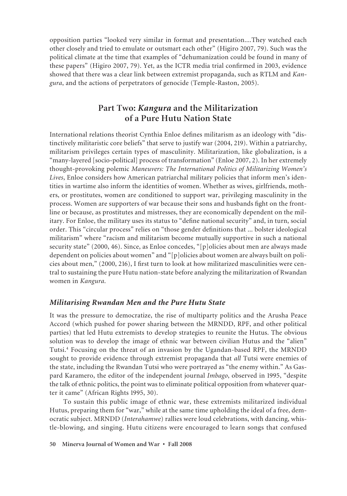opposition parties "looked very similar in format and presentation....They watched each other closely and tried to emulate or outsmart each other" (Higiro 2007, 79). Such was the political climate at the time that examples of "dehumanization could be found in many of these papers" (Higiro 2007, 79). Yet, as the ICTR media trial confirmed in 2003, evidence showed that there was a clear link between extremist propaganda, such as RTLM and *Kangura*, and the actions of perpetrators of genocide (Temple-Raston, 2005).

# **Part Two:** *Kangura* **and the Militarization of a Pure Hutu Nation State**

International relations theorist Cynthia Enloe defines militarism as an ideology with "distinctively militaristic core beliefs" that serve to justify war (2004, 219). Within a patriarchy, militarism privileges certain types of masculinity. Militarization, like globalization, is a "many-layered [socio-political] process of transformation" (Enloe 2007, 2). In her extremely thought-provoking polemic *Maneuvers: The International Politics of Militarizing Women's Lives*, Enloe considers how American patriarchal military policies that inform men's identities in wartime also inform the identities of women. Whether as wives, girlfriends, mothers, or prostitutes, women are conditioned to support war, privileging masculinity in the process. Women are supporters of war because their sons and husbands fight on the frontline or because, as prostitutes and mistresses, they are economically dependent on the military. For Enloe, the military uses its status to "define national security" and, in turn, social order. This "circular process" relies on "those gender definitions that ... bolster ideological militarism" where "racism and militarism become mutually supportive in such a national security state" (2000, 46). Since, as Enloe concedes, "[p]olicies about men are always made dependent on policies about women" and "[p]olicies about women are always built on policies about men," (2000, 216), I first turn to look at how militarized masculinities were central to sustaining the pure Hutu nation-state before analyzing the militarization of Rwandan women in *Kangura*.

### *Militarising Rwandan Men and the Pure Hutu State*

It was the pressure to democratize, the rise of multiparty politics and the Arusha Peace Accord (which pushed for power sharing between the MRNDD, RPF, and other political parties) that led Hutu extremists to develop strategies to reunite the Hutus. The obvious solution was to develop the image of ethnic war between civilian Hutus and the "alien" Tutsi.4 Focusing on the threat of an invasion by the Ugandan-based RPF, the MRNDD sought to provide evidence through extremist propaganda that *all* Tutsi were enemies of the state, including the Rwandan Tutsi who were portrayed as "the enemy within." As Gaspard Karamero, the editor of the independent journal *Imbago*, observed in 1995, "despite the talk of ethnic politics, the point was to eliminate political opposition from whatever quarter it came" (African Rights 1995, 30).

To sustain this public image of ethnic war, these extremists militarized individual Hutus, preparing them for "war," while at the same time upholding the ideal of a free, democratic subject. MRNDD (*Interahamwe*) rallies were loud celebrations, with dancing, whistle-blowing, and singing. Hutu citizens were encouraged to learn songs that confused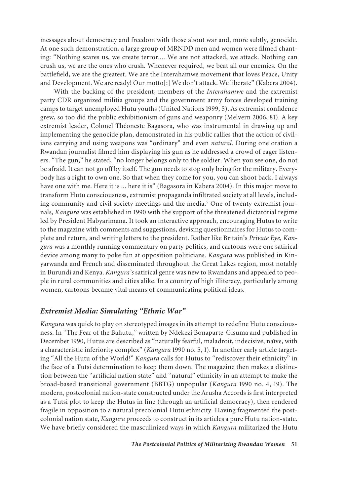messages about democracy and freedom with those about war and, more subtly, genocide. At one such demonstration, a large group of MRNDD men and women were filmed chanting: "Nothing scares us, we create terror.... We are not attacked, we attack. Nothing can crush us, we are the ones who crush. Whenever required, we beat all our enemies. On the battlefield, we are the greatest. We are the Interahamwe movement that loves Peace, Unity and Development. We are ready! Our motto[:] We don't attack. We liberate" (Kabera 2004).

With the backing of the president, members of the *Interahamwe* and the extremist party CDR organized militia groups and the government army forces developed training camps to target unemployed Hutu youths (United Nations 1999, 5). As extremist confidence grew, so too did the public exhibitionism of guns and weaponry (Melvern 2006, 81). A key extremist leader, Colonel Théoneste Bagasora, who was instrumental in drawing up and implementing the genocide plan, demonstrated in his public rallies that the action of civilians carrying and using weapons was "ordinary" and even *natural*. During one oration a Rwandan journalist filmed him displaying his gun as he addressed a crowd of eager listeners. "The gun," he stated, "no longer belongs only to the soldier. When you see one, do not be afraid. It can not go off by itself. The gun needs to stop only being for the military. Everybody has a right to own one. So that when they come for you, you can shoot back. I always have one with me. Here it is ... here it is" (Bagasora in Kabera 2004). In this major move to transform Hutu consciousness, extremist propaganda infiltrated society at all levels, including community and civil society meetings and the media.<sup>5</sup> One of twenty extremist journals, *Kangura* was established in 1990 with the support of the threatened dictatorial regime led by President Habyarimana. It took an interactive approach, encouraging Hutus to write to the magazine with comments and suggestions, devising questionnaires for Hutus to complete and return, and writing letters to the president. Rather like Britain's *Private Eye*, *Kangura* was a monthly running commentary on party politics, and cartoons were one satirical device among many to poke fun at opposition politicians. *Kangura* was published in Kinyarwanda and French and disseminated throughout the Great Lakes region, most notably in Burundi and Kenya. *Kangura's* satirical genre was new to Rwandans and appealed to people in rural communities and cities alike. In a country of high illiteracy, particularly among women, cartoons became vital means of communicating political ideas.

### *Extremist Media: Simulating "Ethnic War"*

*Kangura* was quick to play on stereotyped images in its attempt to redefine Hutu consciousness. In "The Fear of the Bahutu," written by Ndekezi Bonaparte-Gisuma and published in December 1990, Hutus are described as "naturally fearful, maladroit, indecisive, naïve, with a characteristic inferiority complex" (*Kangura* 1990 no. 5, 1). In another early article targeting "All the Hutu of the World!" *Kangura* calls for Hutus to "rediscover their ethnicity" in the face of a Tutsi determination to keep them down. The magazine then makes a distinction between the "artificial nation state" and "natural" ethnicity in an attempt to make the broad-based transitional government (BBTG) unpopular (*Kangura* 1990 no. 4, 19). The modern, postcolonial nation-state constructed under the Arusha Accords is first interpreted as a Tutsi plot to keep the Hutus in line (through an artificial democracy), then rendered fragile in opposition to a natural precolonial Hutu ethnicity. Having fragmented the postcolonial nation state, *Kangura* proceeds to construct in its articles a pure Hutu nation-state. We have briefly considered the masculinized ways in which *Kangura* militarized the Hutu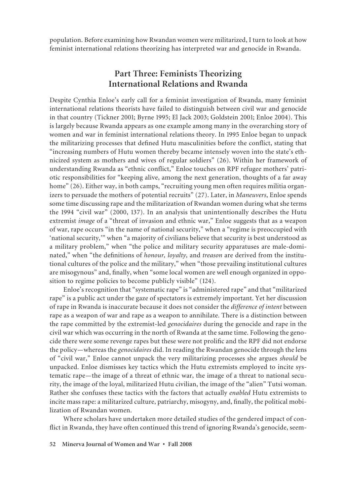population. Before examining how Rwandan women were militarized, I turn to look at how feminist international relations theorizing has interpreted war and genocide in Rwanda.

# **Part Three: Feminists Theorizing International Relations and Rwanda**

Despite Cynthia Enloe's early call for a feminist investigation of Rwanda, many feminist international relations theorists have failed to distinguish between civil war and genocide in that country (Tickner 2001; Byrne 1995; El Jack 2003; Goldstein 2001; Enloe 2004). This is largely because Rwanda appears as one example among many in the overarching story of women and war in feminist international relations theory. In 1995 Enloe began to unpack the militarizing processes that defined Hutu masculinities before the conflict, stating that "increasing numbers of Hutu women thereby became intensely woven into the state's ethnicized system as mothers and wives of regular soldiers" (26). Within her framework of understanding Rwanda as "ethnic conflict," Enloe touches on RPF refugee mothers' patriotic responsibilities for "keeping alive, among the next generation, thoughts of a far away home" (26). Either way, in both camps, "recruiting young men often requires militia organizers to persuade the mothers of potential recruits" (27). Later, in *Maneuvers*, Enloe spends some time discussing rape and the militarization of Rwandan women during what she terms the 1994 "civil war" (2000, 137). In an analysis that unintentionally describes the Hutu extremist *image* of a "threat of invasion and ethnic war," Enloe suggests that as a weapon of war, rape occurs "in the name of national security," when a "regime is preoccupied with 'national security,'" when "a majority of civilians believe that security is best understood as a military problem," when "the police and military security apparatuses are male-dominated," when "the definitions of *honour, loyalty,* and *treason* are derived from the institutional cultures of the police and the military," when "those prevailing institutional cultures are misogynous" and, finally, when "some local women are well enough organized in opposition to regime policies to become publicly visible" (124).

Enloe's recognition that "systematic rape" is "administered rape" and that "militarized rape" is a public act under the gaze of spectators is extremely important. Yet her discussion of rape in Rwanda is inaccurate because it does not consider the *difference of intent* between rape as a weapon of war and rape as a weapon to annihilate. There is a distinction between the rape committed by the extremist-led *genocidaires* during the genocide and rape in the civil war which was occurring in the north of Rwanda at the same time. Following the genocide there were some revenge rapes but these were not prolific and the RPF did not endorse the policy—whereas the *genocidaires* did. In reading the Rwandan genocide through the lens of "civil war," Enloe cannot unpack the very militarizing processes she argues *should* be unpacked. Enloe dismisses key tactics which the Hutu extremists employed to incite systematic rape—the image of a threat of ethnic war, the image of a threat to national security, the image of the loyal, militarized Hutu civilian, the image of the "alien" Tutsi woman. Rather she confuses these tactics with the factors that actually *enabled* Hutu extremists to incite mass rape: a militarized culture, patriarchy, misogyny, and, finally, the political mobilization of Rwandan women.

Where scholars have undertaken more detailed studies of the gendered impact of conflict in Rwanda, they have often continued this trend of ignoring Rwanda's genocide, seem-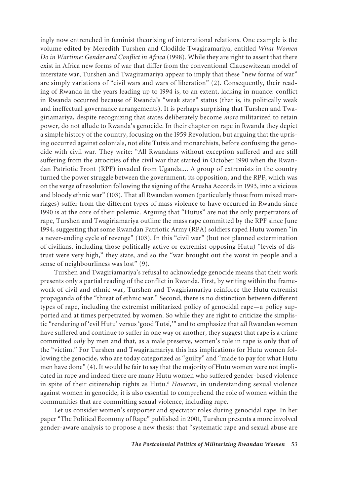ingly now entrenched in feminist theorizing of international relations. One example is the volume edited by Meredith Turshen and Clodilde Twagiramariya, entitled *What Women Do in Wartime: Gender and Conflict in Africa* (1998). While they are right to assert that there exist in Africa new forms of war that differ from the conventional Clausewitzean model of interstate war, Turshen and Twagiramariya appear to imply that these "new forms of war" are simply variations of "civil wars and wars of liberation" (2). Consequently, their reading of Rwanda in the years leading up to 1994 is, to an extent, lacking in nuance: conflict in Rwanda occurred because of Rwanda's "weak state" status (that is, its politically weak and ineffectual governance arrangements). It is perhaps surprising that Turshen and Twagiriamariya, despite recognizing that states deliberately become *more* militarized to retain power, do not allude to Rwanda's genocide. In their chapter on rape in Rwanda they depict a simple history of the country, focusing on the 1959 Revolution, but arguing that the uprising occurred against colonials, not elite Tutsis and monarchists, before confusing the genocide with civil war. They write: "All Rwandans without exception suffered and are still suffering from the atrocities of the civil war that started in October 1990 when the Rwandan Patriotic Front (RPF) invaded from Uganda.... A group of extremists in the country turned the power struggle between the government, its opposition, and the RPF, which was on the verge of resolution following the signing of the Arusha Accords in 1993, into a vicious and bloody ethnic war" (103). That all Rwandan women (particularly those from mixed marriages) suffer from the different types of mass violence to have occurred in Rwanda since 1990 is at the core of their polemic. Arguing that "Hutus" are not the only perpetrators of rape, Turshen and Twagiriamariya outline the mass rape committed by the RPF since June 1994, suggesting that some Rwandan Patriotic Army (RPA) soldiers raped Hutu women "in a never-ending cycle of revenge" (103). In this "civil war" (but not planned extermination of civilians, including those politically active or extremist-opposing Hutu) "levels of distrust were very high," they state, and so the "war brought out the worst in people and a sense of neighbourliness was lost" (9).

Turshen and Twagiriamariya's refusal to acknowledge genocide means that their work presents only a partial reading of the conflict in Rwanda. First, by writing within the framework of civil and ethnic war, Turshen and Twagiriamariya reinforce the Hutu extremist propaganda of the "threat of ethnic war." Second, there is no distinction between different types of rape, including the extremist militarized policy of genocidal rape—a policy supported and at times perpetrated by women. So while they are right to criticize the simplistic "rendering of 'evil Hutu' versus 'good Tutsi,'" and to emphasize that *all* Rwandan women have suffered and continue to suffer in one way or another, they suggest that rape is a crime committed *only* by men and that, as a male preserve, women's role in rape is only that of the "victim." For Turshen and Twagiriamariya this has implications for Hutu women following the genocide, who are today categorized as "guilty" and "made to pay for what Hutu men have done" (4). It would be fair to say that the majority of Hutu women were not implicated in rape and indeed there are many Hutu women who suffered gender-based violence in spite of their citizenship rights as Hutu.<sup>6</sup> *However*, in understanding sexual violence against women in genocide, it is also essential to comprehend the role of women within the communities that are committing sexual violence, including rape.

Let us consider women's supporter and spectator roles during genocidal rape. In her paper "The Political Economy of Rape" published in 2001, Turshen presents a more involved gender-aware analysis to propose a new thesis: that "systematic rape and sexual abuse are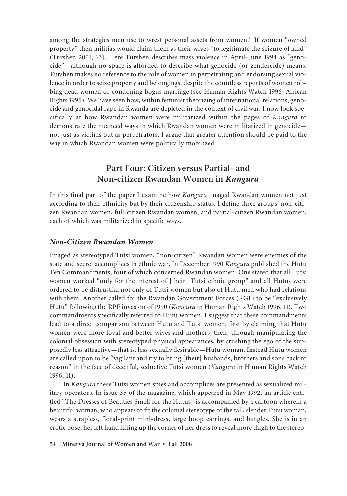among the strategies men use to wrest personal assets from women." If women "owned property" then militias would claim them as their wives "to legitimate the seizure of land" (Turshen 2001, 63). Here Turshen describes mass violence in April–June 1994 as "genocide"—although no space is afforded to describe what genocide (or gendercide) means. Turshen makes no reference to the role of women in perpetrating and endorsing sexual violence in order to seize property and belongings, despite the countless reports of women robbing dead women or condoning bogus marriage (see Human Rights Watch 1996; African Rights 1995). We have seen how, within feminist theorizing of international relations, genocide and genocidal rape in Rwanda are depicted in the context of civil war. I now look specifically at how Rwandan women were militarized within the pages of *Kangura* to demonstrate the nuanced ways in which Rwandan women were militarized in genocide not just as victims but as perpetrators. I argue that greater attention should be paid to the way in which Rwandan women were politically mobilized.

# **Part Four: Citizen versus Partial- and Non-citizen Rwandan Women in** *Kangura*

In this final part of the paper I examine how *Kangura* imaged Rwandan women not just according to their ethnicity but by their citizenship status. I define three groups: non-citizen Rwandan women, full-citizen Rwandan women, and partial-citizen Rwandan women, each of which was militarized in specific ways.

### *Non-Citizen Rwandan Women*

Imaged as stereotyped Tutsi women, "non-citizen" Rwandan women were enemies of the state and secret accomplices in ethnic war. In December 1990 *Kangura* published the Hutu Ten Commandments, four of which concerned Rwandan women. One stated that all Tutsi women worked "only for the interest of [their] Tutsi ethnic group" and all Hutus were ordered to be distrustful not only of Tutsi women but also of Hutu men who had relations with them. Another called for the Rwandan Government Forces (RGF) to be "exclusively Hutu" following the RPF invasion of 1990 (*Kangura* in Human Rights Watch 1996, 11). Two commandments specifically referred to Hutu women. I suggest that these commandments lead to a direct comparison between Hutu and Tutsi women, first by claiming that Hutu women were more loyal and better wives and mothers; then, through manipulating the colonial obsession with stereotyped physical appearances, by crushing the ego of the supposedly less attractive—that is, less sexually desirable—Hutu woman. Instead Hutu women are called upon to be "vigilant and try to bring [their] husbands, brothers and sons back to reason" in the face of deceitful, seductive Tutsi women (*Kangura* in Human Rights Watch 1996, 11).

In *Kangura* these Tutsi women spies and accomplices are presented as sexualized military operators. In issue 35 of the magazine, which appeared in May 1992, an article entitled "The Dresses of Beauties Smell for the Hutus" is accompanied by a cartoon wherein a beautiful woman, who appears to fit the colonial stereotype of the tall, slender Tutsi woman, wears a strapless, floral-print mini-dress, large hoop earrings, and bangles. She is in an erotic pose, her left hand lifting up the corner of her dress to reveal more thigh to the stereo-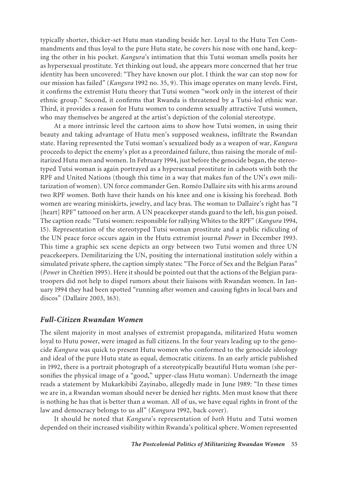typically shorter, thicker-set Hutu man standing beside her. Loyal to the Hutu Ten Commandments and thus loyal to the pure Hutu state, he covers his nose with one hand, keeping the other in his pocket. *Kangura*'s intimation that this Tutsi woman smells posits her as hypersexual prostitute. Yet thinking out loud, she appears more concerned that her true identity has been uncovered: "They have known our plot. I think the war can stop now for our mission has failed" (*Kangura* 1992 no. 35, 9). This image operates on many levels. First, it confirms the extremist Hutu theory that Tutsi women "work only in the interest of their ethnic group." Second, it confirms that Rwanda is threatened by a Tutsi-led ethnic war. Third, it provides a reason for Hutu women to condemn sexually attractive Tutsi women, who may themselves be angered at the artist's depiction of the colonial stereotype.

At a more intrinsic level the cartoon aims to show how Tutsi women, in using their beauty and taking advantage of Hutu men's supposed weakness, infiltrate the Rwandan state. Having represented the Tutsi woman's sexualized body as a weapon of war, *Kangura* proceeds to depict the enemy's plot as a preordained failure, thus raising the morale of militarized Hutu men and women. In February 1994, just before the genocide began, the stereotyped Tutsi woman is again portrayed as a hypersexual prostitute in cahoots with both the RPF and United Nations (though this time in a way that makes fun of the UN's *own* militarization of women). UN force commander Gen. Roméo Dallaire sits with his arms around two RPF women. Both have their hands on his knee and one is kissing his forehead. Both women are wearing miniskirts, jewelry, and lacy bras. The woman to Dallaire's right has "I [heart] RPF" tattooed on her arm. A UN peacekeeper stands guard to the left, his gun poised. The caption reads: "Tutsi women: responsible for rallying Whites to the RPF" (*Kangura* 1994, 15). Representation of the stereotyped Tutsi woman prostitute and a public ridiculing of the UN peace force occurs again in the Hutu extremist journal *Power* in December 1993. This time a graphic sex scene depicts an orgy between two Tutsi women and three UN peacekeepers. Demilitarizing the UN, positing the international institution solely within a simulated private sphere, the caption simply states: "The Force of Sex and the Belgian Paras" (*Power* in Chrétien 1995). Here it should be pointed out that the actions of the Belgian paratroopers did not help to dispel rumors about their liaisons with Rwandan women. In January 1994 they had been spotted "running after women and causing fights in local bars and discos" (Dallaire 2003, 163).

### *Full-Citizen Rwandan Women*

The silent majority in most analyses of extremist propaganda, militarized Hutu women loyal to Hutu power, were imaged as full citizens. In the four years leading up to the genocide *Kangura* was quick to present Hutu women who conformed to the genocide ideology and ideal of the pure Hutu state as equal, democratic citizens. In an early article published in 1992, there is a portrait photograph of a stereotypically beautiful Hutu woman (she personifies the physical image of a "good," upper-class Hutu woman). Underneath the image reads a statement by Mukarkibibi Zayinabo, allegedly made in June 1989: "In these times we are in, a Rwandan woman should never be denied her rights. Men must know that there is nothing he has that is better than a woman. All of us, we have equal rights in front of the law and democracy belongs to us all" (*Kangura* 1992, back cover).

It should be noted that *Kangura*'s representation of *both* Hutu and Tutsi women depended on their increased visibility within Rwanda's political sphere. Women represented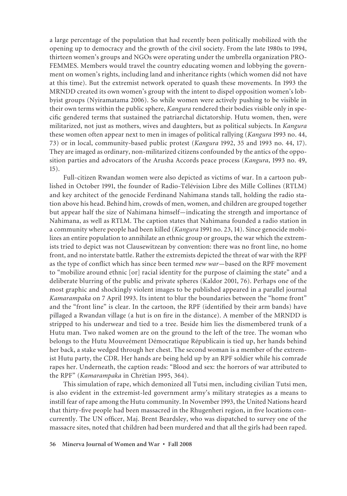a large percentage of the population that had recently been politically mobilized with the opening up to democracy and the growth of the civil society. From the late 1980s to 1994, thirteen women's groups and NGOs were operating under the umbrella organization PRO-FEMMES. Members would travel the country educating women and lobbying the government on women's rights, including land and inheritance rights (which women did not have at this time). But the extremist network operated to quash these movements. In 1993 the MRNDD created its own women's group with the intent to dispel opposition women's lobbyist groups (Nyiramatama 2006). So while women were actively pushing to be visible in their own terms within the public sphere, *Kangura* rendered their bodies visible only in specific gendered terms that sustained the patriarchal dictatorship. Hutu women, then, were militarized, not just as mothers, wives and daughters, but as political subjects. In *Kangura* these women often appear next to men in images of political rallying (*Kangura* 1993 no. 44, 73) or in local, community-based public protest (*Kangura* 1992, 35 and 1993 no. 44, 17). They are imaged as ordinary, non-militarized citizens confounded by the antics of the opposition parties and advocators of the Arusha Accords peace process (*Kangura*, 1993 no. 49, 15).

Full-citizen Rwandan women were also depicted as victims of war. In a cartoon published in October 1991, the founder of Radio-Télévision Libre des Mille Collines (RTLM) and key architect of the genocide Ferdinand Nahimana stands tall, holding the radio station above his head. Behind him, crowds of men, women, and children are grouped together but appear half the size of Nahimana himself—indicating the strength and importance of Nahimana, as well as RTLM. The caption states that Nahimana founded a radio station in a community where people had been killed (*Kangura* 1991 no. 23, 14). Since genocide mobilizes an entire population to annihilate an ethnic group or groups, the war which the extremists tried to depict was not Clausewitzean by convention: there was no front line, no home front, and no interstate battle. Rather the extremists depicted the threat of war with the RPF as the type of conflict which has since been termed *new war*—based on the RPF movement to "mobilize around ethnic [or] racial identity for the purpose of claiming the state" and a deliberate blurring of the public and private spheres (Kaldor 2001, 76). Perhaps one of the most graphic and shockingly violent images to be published appeared in a parallel journal *Kamarampaka* on 7 April 1993. Its intent to blur the boundaries between the "home front" and the "front line" is clear. In the cartoon, the RPF (identified by their arm bands) have pillaged a Rwandan village (a hut is on fire in the distance). A member of the MRNDD is stripped to his underwear and tied to a tree. Beside him lies the dismembered trunk of a Hutu man. Two naked women are on the ground to the left of the tree. The woman who belongs to the Hutu Mouveément Démocratique Républicain is tied up, her hands behind her back, a stake wedged through her chest. The second woman is a member of the extremist Hutu party, the CDR. Her hands are being held up by an RPF soldier while his comrade rapes her. Underneath, the caption reads: "Blood and sex: the horrors of war attributed to the RPF" (*Kamarampaka* in Chrètian 1995, 364).

This simulation of rape, which demonized all Tutsi men, including civilian Tutsi men, is also evident in the extremist-led government army's military strategies as a means to instill fear of rape among the Hutu community. In November 1993, the United Nations heard that thirty-five people had been massacred in the Rhugenheri region, in five locations concurrently. The UN officer, Maj. Brent Beardsley, who was dispatched to survey one of the massacre sites, noted that children had been murdered and that all the girls had been raped.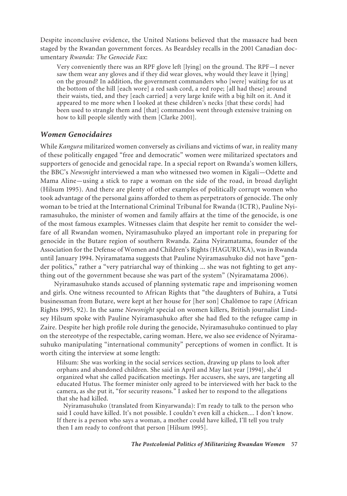Despite inconclusive evidence, the United Nations believed that the massacre had been staged by the Rwandan government forces. As Beardsley recalls in the 2001 Canadian documentary *Rwanda: The Genocide Fax*:

Very conveniently there was an RPF glove left [lying] on the ground. The RPF—I never saw them wear any gloves and if they did wear gloves, why would they leave it [lying] on the ground? In addition, the government commanders who [were] waiting for us at the bottom of the hill [each wore] a red sash cord, a red rope; [all had these] around their waists, tied, and they [each carried] a very large knife with a big hilt on it. And it appeared to me more when I looked at these children's necks [that these cords] had been used to strangle them and [that] commandos went through extensive training on how to kill people silently with them [Clarke 2001].

#### *Women Genocidaires*

While *Kangura* militarized women conversely as civilians and victims of war, in reality many of these politically engaged "free and democratic" women were militarized spectators and supporters of genocide and genocidal rape. In a special report on Rwanda's women killers, the BBC's *Newsnight* interviewed a man who witnessed two women in Kigali—Odette and Mama Aline—using a stick to rape a woman on the side of the road, in broad daylight (Hilsum 1995). And there are plenty of other examples of politically corrupt women who took advantage of the personal gains afforded to them as perpetrators of genocide. The only woman to be tried at the International Criminal Tribunal for Rwanda (ICTR), Pauline Nyiramasuhuko, the minister of women and family affairs at the time of the genocide, is one of the most famous examples. Witnesses claim that despite her remit to consider the welfare of all Rwandan women, Nyiramasuhuko played an important role in preparing for genocide in the Butare region of southern Rwanda. Zaina Nyiramatama, founder of the Association for the Defense of Women and Children's Rights (HAGURUKA), was in Rwanda until January 1994. Nyiramatama suggests that Pauline Nyiramasuhuko did not have "gender politics," rather a "very patriarchal way of thinking ... she was not fighting to get anything out of the government because she was part of the system" (Nyiramatama 2006).

Nyiramasuhuko stands accused of planning systematic rape and imprisoning women and girls. One witness recounted to African Rights that "the daughters of Buhira, a Tutsi businessman from Butare, were kept at her house for [her son] Chalômoe to rape (African Rights 1995, 92). In the same *Newsnight* special on women killers, British journalist Lindsey Hilsum spoke with Pauline Nyiramasuhuko after she had fled to the refugee camp in Zaire. Despite her high profile role during the genocide, Nyiramasuhuko continued to play on the stereotype of the respectable, caring woman. Here, we also see evidence of Nyiramasuhuko manipulating "international community" perceptions of women in conflict. It is worth citing the interview at some length:

Hilsum: She was working in the social services section, drawing up plans to look after orphans and abandoned children. She said in April and May last year [1994], she'd organized what she called pacification meetings. Her accusers, she says, are targeting all educated Hutus. The former minister only agreed to be interviewed with her back to the camera, as she put it, "for security reasons." I asked her to respond to the allegations that she had killed.

Nyiramasuhuko (translated from Kinyarwanda): I'm ready to talk to the person who said I could have killed. It's not possible. I couldn't even kill a chicken.... I don't know. If there is a person who says a woman, a mother could have killed, I'll tell you truly then I am ready to confront that person [Hilsum 1995].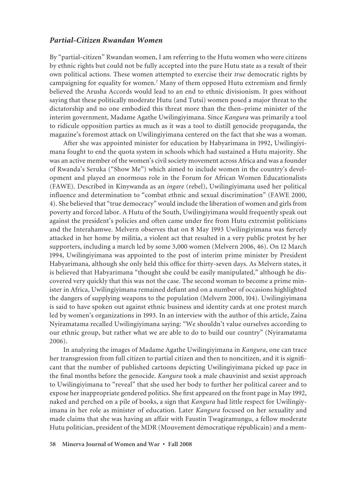#### *Partial-Citizen Rwandan Women*

By "partial-citizen" Rwandan women, I am referring to the Hutu women who were citizens by ethnic rights but could not be fully accepted into the pure Hutu state as a result of their own political actions. These women attempted to exercise their *true* democratic rights by campaigning for equality for women.7 Many of them opposed Hutu extremism and firmly believed the Arusha Accords would lead to an end to ethnic divisionism. It goes without saying that these politically moderate Hutu (and Tutsi) women posed a major threat to the dictatorship and no one embodied this threat more than the then–prime minister of the interim government, Madame Agathe Uwilingiyimana. Since *Kangura* was primarily a tool to ridicule opposition parties as much as it was a tool to distill genocide propaganda, the magazine's foremost attack on Uwilingiyimana centered on the fact that she was a woman.

After she was appointed minister for education by Habyarimana in 1992, Uwilingiyimana fought to end the quota system in schools which had sustained a Hutu majority. She was an active member of the women's civil society movement across Africa and was a founder of Rwanda's Seruka ("Show Me") which aimed to include women in the country's development and played an enormous role in the Forum for African Women Educationalists (FAWE). Described in Kinywanda as an *ingare* (rebel), Uwilingiyimana used her political influence and determination to "combat ethnic and sexual discrimination" (FAWE 2000, 4). She believed that "true democracy" would include the liberation of women and girls from poverty and forced labor. A Hutu of the South, Uwilingiyimana would frequently speak out against the president's policies and often came under fire from Hutu extremist politicians and the Interahamwe. Melvern observes that on 8 May 1993 Uwilingiyimana was fiercely attacked in her home by militia, a violent act that resulted in a very public protest by her supporters, including a march led by some 3,000 women (Melvern 2006, 46). On 12 March 1994, Uwilingiyimana was appointed to the post of interim prime minister by President Habyarimana, although she only held this office for thirty-seven days. As Melvern states, it is believed that Habyarimana "thought she could be easily manipulated," although he discovered very quickly that this was not the case. The second woman to become a prime minister in Africa, Uwilingiyimana remained defiant and on a number of occasions highlighted the dangers of supplying weapons to the population (Melvern 2000, 104). Uwilingiyimana is said to have spoken out against ethnic business and identity cards at one protest march led by women's organizations in 1993. In an interview with the author of this article, Zaina Nyiramatama recalled Uwilingiyimana saying: "We shouldn't value ourselves according to our ethnic group, but rather what we are able to do to build our country" (Nyiramatama 2006).

In analyzing the images of Madame Agathe Uwilingiyimana in *Kangura*, one can trace her transgression from full citizen to partial citizen and then to noncitizen, and it is significant that the number of published cartoons depicting Uwilingiyimana picked up pace in the final months before the genocide. *Kangura* took a male chauvinist and sexist approach to Uwilingiyimana to "reveal" that she used her body to further her political career and to expose her inappropriate gendered politics. She first appeared on the front page in May 1992, naked and perched on a pile of books, a sign that *Kangura* had little respect for Uwilingiyimana in her role as minister of education. Later *Kangura* focused on her sexuality and made claims that she was having an affair with Faustin Twagiramungu, a fellow moderate Hutu politician, president of the MDR (Mouvement démocratique républicain) and a mem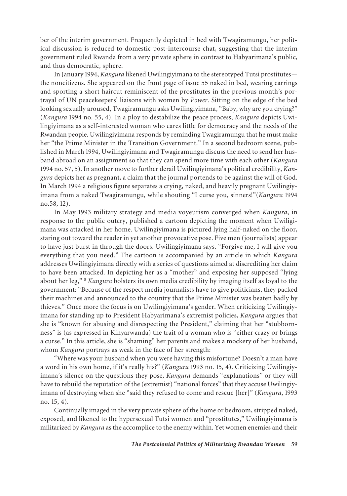ber of the interim government. Frequently depicted in bed with Twagiramungu, her political discussion is reduced to domestic post-intercourse chat, suggesting that the interim government ruled Rwanda from a very private sphere in contrast to Habyarimana's public, and thus democratic, sphere.

In January 1994, *Kangura* likened Uwilingiyimana to the stereotyped Tutsi prostitutes the noncitizens. She appeared on the front page of issue 55 naked in bed, wearing earrings and sporting a short haircut reminiscent of the prostitutes in the previous month's portrayal of UN peacekeepers' liaisons with women by *Power*. Sitting on the edge of the bed looking sexually aroused, Twagiramungu asks Uwilingiyimana, "Baby, why are you crying?" (*Kangura* 1994 no. 55, 4). In a ploy to destabilize the peace process, *Kangura* depicts Uwilingiyimana as a self-interested woman who cares little for democracy and the needs of the Rwandan people. Uwilingiyimana responds by reminding Twagiramungu that he must make her "the Prime Minister in the Transition Government." In a second bedroom scene, published in March 1994, Uwilingiyimana and Twagiramungu discuss the need to send her husband abroad on an assignment so that they can spend more time with each other (*Kangura* 1994 no. 57, 5). In another move to further derail Uwilingiyimana's political credibility, *Kangura* depicts her as pregnant, a claim that the journal portends to be against the will of God. In March 1994 a religious figure separates a crying, naked, and heavily pregnant Uwilingiyimana from a naked Twagiramungu, while shouting "I curse you, sinners!"(*Kangura* 1994 no.58, 12).

In May 1993 military strategy and media voyeurism converged when *Kangura*, in response to the public outcry, published a cartoon depicting the moment when Uwiligimana was attacked in her home. Uwilingiyimana is pictured lying half-naked on the floor, staring out toward the reader in yet another provocative pose. Five men (journalists) appear to have just burst in through the doors. Uwilingiyimana says, "Forgive me, I will give you everything that you need." The cartoon is accompanied by an article in which *Kangura* addresses Uwilingiyimana directly with a series of questions aimed at discrediting her claim to have been attacked. In depicting her as a "mother" and exposing her supposed "lying about her leg," 8 *Kangura* bolsters its own media credibility by imaging itself as loyal to the government: "Because of the respect media journalists have to give politicians, they packed their machines and announced to the country that the Prime Minister was beaten badly by thieves." Once more the focus is on Uwilingiyimana's gender. When criticizing Uwilingiyimana for standing up to President Habyarimana's extremist policies, *Kangura* argues that she is "known for abusing and disrespecting the President," claiming that her "stubbornness" is (as expressed in Kinyarwanda) the trait of a woman who is "either crazy or brings a curse." In this article, she is "shaming" her parents and makes a mockery of her husband, whom *Kangura* portrays as weak in the face of her strength:

"Where was your husband when you were having this misfortune? Doesn't a man have a word in his own home, if it's really his?" (*Kangura* 1993 no. 15, 4). Criticizing Uwilingiyimana's silence on the questions they pose, *Kangura* demands "explanations" or they will have to rebuild the reputation of the (extremist) "national forces" that they accuse Uwilingiyimana of destroying when she "said they refused to come and rescue [her]" (*Kangura*, 1993 no. 15, 4).

Continually imaged in the very private sphere of the home or bedroom, stripped naked, exposed, and likened to the hypersexual Tutsi women and "prostitutes," Uwilingiyimana is militarized by *Kangura* as the accomplice to the enemy within. Yet women enemies and their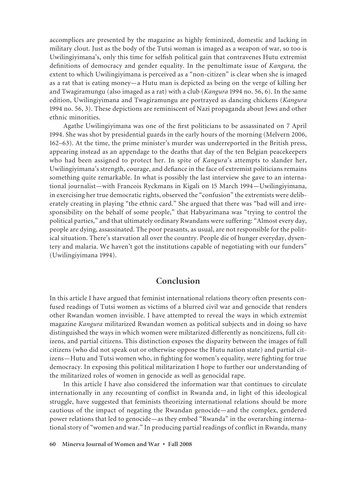accomplices are presented by the magazine as highly feminized, domestic and lacking in military clout. Just as the body of the Tutsi woman is imaged as a weapon of war, so too is Uwilingiyimana's, only this time for selfish political gain that contravenes Hutu extremist definitions of democracy and gender equality. In the penultimate issue of *Kangura,* the extent to which Uwilingiyimana is perceived as a "non-citizen" is clear when she is imaged as a rat that is eating money—a Hutu man is depicted as being on the verge of killing her and Twagiramungu (also imaged as a rat) with a club (*Kangura* 1994 no. 56, 6). In the same edition, Uwilingiyimana and Twagiramungu are portrayed as dancing chickens (*Kangura* 1994 no. 56, 3). These depictions are reminiscent of Nazi propaganda about Jews and other ethnic minorities.

Agathe Uwilingiyimana was one of the first politicians to be assassinated on 7 April 1994. She was shot by presidential guards in the early hours of the morning (Melvern 2006, 162–63). At the time, the prime minister's murder was underreported in the British press, appearing instead as an appendage to the deaths that day of the ten Belgian peacekeepers who had been assigned to protect her. In spite of *Kangura*'s attempts to slander her, Uwilingiyimana's strength, courage, and defiance in the face of extremist politicians remains something quite remarkable. In what is possibly the last interview she gave to an international journalist—with Francois Ryckmans in Kigali on 15 March 1994—Uwilingiyimana, in exercising her true democratic rights, observed the "confusion" the extremists were deliberately creating in playing "the ethnic card." She argued that there was "bad will and irresponsibility on the behalf of some people," that Habyarimana was "trying to control the political parties," and that ultimately ordinary Rwandans were suffering: "Almost every day, people are dying, assassinated. The poor peasants, as usual, are not responsible for the political situation. There's starvation all over the country. People die of hunger everyday, dysentery and malaria. We haven't got the institutions capable of negotiating with our funders" (Uwilingiyimana 1994).

### **Conclusion**

In this article I have argued that feminist international relations theory often presents confused readings of Tutsi women as victims of a blurred civil war and genocide that renders other Rwandan women invisible. I have attempted to reveal the ways in which extremist magazine *Kangura* militarized Rwandan women as political subjects and in doing so have distinguished the ways in which women were militarized differently as noncitizens, full citizens, and partial citizens. This distinction exposes the disparity between the images of full citizens (who did not speak out or otherwise oppose the Hutu nation state) and partial citizens—Hutu and Tutsi women who, in fighting for women's equality, were fighting for true democracy. In exposing this political militarization I hope to further our understanding of the militarized roles of women in genocide as well as genocidal rape.

In this article I have also considered the information war that continues to circulate internationally in any recounting of conflict in Rwanda and, in light of this ideological struggle, have suggested that feminists theorizing international relations should be more cautious of the impact of negating the Rwandan genocide—and the complex, gendered power relations that led to genocide—as they embed "Rwanda" in the overarching international story of "women and war." In producing partial readings of conflict in Rwanda, many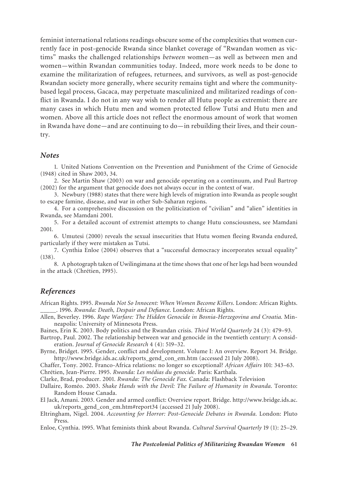feminist international relations readings obscure some of the complexities that women currently face in post-genocide Rwanda since blanket coverage of "Rwandan women as victims" masks the challenged relationships *between* women—as well as between men and women—within Rwandan communities today. Indeed, more work needs to be done to examine the militarization of refugees, returnees, and survivors, as well as post-genocide Rwandan society more generally, where security remains tight and where the communitybased legal process, Gacaca, may perpetuate masculinized and militarized readings of conflict in Rwanda. I do not in any way wish to render all Hutu people as extremist: there are many cases in which Hutu men and women protected fellow Tutsi and Hutu men and women. Above all this article does not reflect the enormous amount of work that women in Rwanda have done—and are continuing to do—in rebuilding their lives, and their country.

#### *Notes*

1. United Nations Convention on the Prevention and Punishment of the Crime of Genocide (1948) cited in Shaw 2003, 34.

2. See Martin Shaw (2003) on war and genocide operating on a continuum, and Paul Bartrop (2002) for the argument that genocide does not always occur in the context of war.

3. Newbury (1988) states that there were high levels of migration into Rwanda as people sought to escape famine, disease, and war in other Sub-Saharan regions.

4. For a comprehensive discussion on the politicization of "civilian" and "alien" identities in Rwanda, see Mamdani 2001.

5. For a detailed account of extremist attempts to change Hutu consciousness, see Mamdani 2001.

6. Umutesi (2000) reveals the sexual insecurities that Hutu women fleeing Rwanda endured, particularly if they were mistaken as Tutsi.

7. Cynthia Enloe (2004) observes that a "successful democracy incorporates sexual equality" (138).

8. A photograph taken of Uwilingimana at the time shows that one of her legs had been wounded in the attack (Chrétien, 1995).

### *References*

African Rights. 1995. *Rwanda Not So Innocent: When Women Become Killers*. London: African Rights. \_\_\_\_\_. 1996. *Rwanda: Death, Despair and Defiance*. London: African Rights.

Allen, Beverley. 1996. *Rape Warfare: The Hidden Genocide in Bosnia-Herzegovina and Croatia.* Minneapolis: University of Minnesota Press.

Baines, Erin K. 2003. Body politics and the Rwandan crisis. *Third World Quarterly* 24 (3): 479–93.

Bartrop, Paul. 2002. The relationship between war and genocide in the twentieth century: A consideration. *Journal of Genocide Research* 4 (4): 519–32.

Byrne, Bridget. 1995. Gender, conflict and development. Volume I: An overview. Report 34. Bridge. http://www.bridge.ids.ac.uk/reports\_gend\_con\_em.htm (accessed 21 July 2008).

Chaffer, Tony. 2002. Franco-Africa relations: no longer so exceptional? *African Affairs* 101: 343–63. Chrétien, Jean-Pierre. 1995. *Rwanda: Les médias du genocide*. Paris: Karthala.

Clarke, Brad, producer. 2001. *Rwanda: The Genocide Fax.* Canada: Flashback Television

Dallaire, Roméo. 2003. *Shake Hands with the Devil: The Failure of Humanity in Rwanda*. Toronto: Random House Canada.

El Jack, Amani. 2003. Gender and armed conflict: Overview report. Bridge. http://www.bridge.ids.ac. uk/reports\_gend\_con\_em.htm#report34 (accessed 21 July 2008).

Eltringham, Nigel. 2004. *Accounting for Horror: Post-Genocide Debates in Rwanda.* London: Pluto Press.

Enloe, Cynthia. 1995. What feminists think about Rwanda. *Cultural Survival Quarterly* 19 (1): 25–29.

*The Postcolonial Politics of Militarizing Rwandan Women* **61**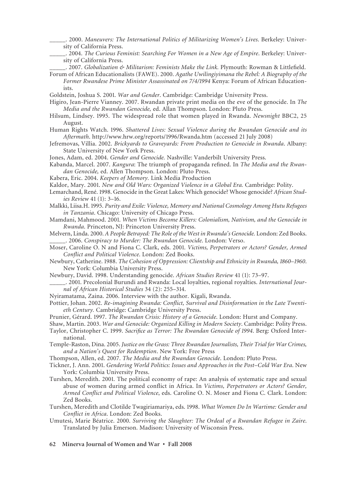- \_\_\_\_\_. 2000. *Maneuvers: The International Politics of Militarizing Women's Lives*. Berkeley: University of California Press.
- \_\_\_\_\_. 2004. *The Curious Feminist: Searching For Women in a New Age of Empire*. Berkeley: University of California Press.
	- \_\_\_\_\_. 2007. *Globalization & Militarism: Feminists Make the Link.* Plymouth: Rowman & Littlefield.
- Forum of African Educationalists (FAWE). 2000. *Agathe Uwilingiyimana the Rebel: A Biography of the Former Rwandese Prime Minister Assassinated on 7/4/1994* Kenya: Forum of African Educationists.

Goldstein, Joshua S. 2001. *War and Gender*. Cambridge: Cambridge University Press.

- Higiro, Jean-Pierre Vianney. 2007. Rwandan private print media on the eve of the genocide. In *The Media and the Rwandan Genocide,* ed. Allan Thompson. London: Pluto Press.
- Hilsum, Lindsey. 1995. The widespread role that women played in Rwanda. *Newsnight* BBC2, 25 August.
- Human Rights Watch. 1996. *Shattered Lives: Sexual Violence during the Rwandan Genocide and its Aftermath*. http://www.hrw.org/reports/1996/Rwanda.htm (accessed 21 July 2008)
- Jefremovas, Villia. 2002. *Brickyards to Graveyards: From Production to Genocide in Rwanda*. Albany: State University of New York Press.

Jones, Adam, ed. 2004. *Gender and Genocide.* Nashville: Vanderbilt University Press.

- Kabanda, Marcel. 2007. *Kangura*: The triumph of propaganda refined. In *The Media and the Rwandan Genocide,* ed. Allen Thompson. London: Pluto Press.
- Kabera, Eric. 2004. *Keepers of Memory.* Link Media Production

Kaldor, Mary. 2001. *New and Old Wars: Organized Violence in a Global Era.* Cambridge: Polity.

- Lemarchand, René. 1998. Genocide in the Great Lakes: Which genocide? Whose genocide? *African Studies Review* 41 (1): 3–16.
- Malkki, Liisa.H. 1995. *Purity and Exile: Violence, Memory and National Cosmology Among Hutu Refugees in Tanzania*. Chicago: University of Chicago Press.
- Mamdani, Mahmood. 2001. *When Victims Become Killers: Colonialism, Nativism, and the Genocide in Rwanda*. Princeton, NJ: Princeton University Press.
- Melvern, Linda. 2000. *A People Betrayed: The Role of the West in Rwanda's Genocide.* London: Zed Books. \_\_\_\_\_. 2006. *Conspiracy to Murder: The Rwandan Genocide*. London: Verso.
- Moser, Caroline O. N and Fiona C. Clark, eds. 2001. *Victims, Perpetrators or Actors? Gender, Armed Conflict and Political Violence*. London: Zed Books.
- Newbury, Catherine. 1988. *The Cohesion of Oppression: Clientship and Ethnicity in Rwanda, 1860–1960*. New York: Columbia University Press.
- Newbury, David. 1998. Understanding genocide. *African Studies Review* 41 (1): 73–97.
- \_\_\_\_\_. 2001. Precolonial Burundi and Rwanda: Local loyalties, regional royalties. *International Journal of African Historical Studies* 34 (2): 255–314.
- Nyiramatama, Zaina. 2006. Interview with the author. Kigali, Rwanda.
- Pottier, Johan. 2002. *Re-imagining Rwanda: Conflict, Survival and Disinformation in the Late Twentieth Century.* Cambridge: Cambridge University Press.
- Prunier, Gérard. 1997. *The Rwandan Crisis: History of a Genocide*. London: Hurst and Company.
- Shaw, Martin. 2003. *War and Genocide: Organized Killing in Modern Society*. Cambridge: Polity Press.
- Taylor, Christopher C. 1999. *Sacrifice as Terror: The Rwandan Genocide of 1994*. Berg: Oxford International.
- Temple-Raston, Dina. 2005. *Justice on the Grass: Three Rwandan Journalists, Their Trial for War Crimes, and a Nation's Quest for Redemption*. New York: Free Press
- Thompson, Allen, ed. 2007. *The Media and the Rwandan Genocide*. London: Pluto Press.
- Tickner, J. Ann. 2001. *Gendering World Politics: Issues and Approaches in the Post–Cold War Era*. New York: Columbia University Press.
- Turshen, Meredith. 2001. The political economy of rape: An analysis of systematic rape and sexual abuse of women during armed conflict in Africa. In *Victims, Perpetrators or Actors? Gender, Armed Conflict and Political Violence*, eds. Caroline O. N. Moser and Fiona C. Clark. London: Zed Books.
- Turshen, Meredith and Clotilde Twagiriamariya, eds. 1998. *What Women Do In Wartime: Gender and Conflict in Africa*. London: Zed Books.
- Umutesi, Marie Béatrice. 2000. *Surviving the Slaughter: The Ordeal of a Rwandan Refugee in Zaire*. Translated by Julia Emerson. Madison: University of Wisconsin Press.
- **62 Minerva Journal of Women and War Fall 2008**